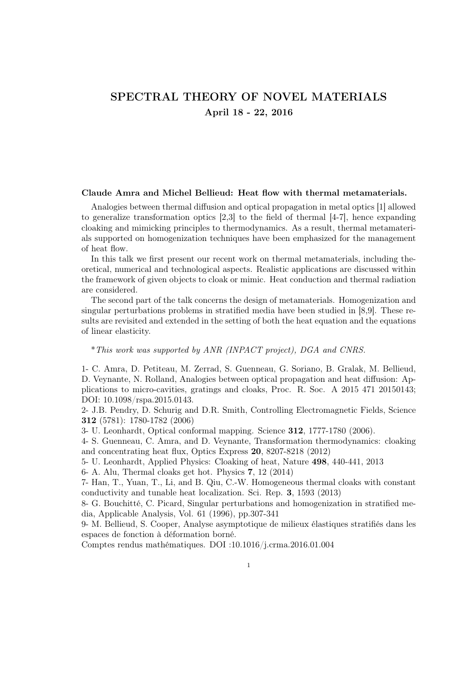# SPECTRAL THEORY OF NOVEL MATERIALS April 18 - 22, 2016

#### Claude Amra and Michel Bellieud: Heat flow with thermal metamaterials.

Analogies between thermal diffusion and optical propagation in metal optics [1] allowed to generalize transformation optics [2,3] to the field of thermal [4-7], hence expanding cloaking and mimicking principles to thermodynamics. As a result, thermal metamaterials supported on homogenization techniques have been emphasized for the management of heat flow.

In this talk we first present our recent work on thermal metamaterials, including theoretical, numerical and technological aspects. Realistic applications are discussed within the framework of given objects to cloak or mimic. Heat conduction and thermal radiation are considered.

The second part of the talk concerns the design of metamaterials. Homogenization and singular perturbations problems in stratified media have been studied in [8,9]. These results are revisited and extended in the setting of both the heat equation and the equations of linear elasticity.

### \*This work was supported by ANR (INPACT project), DGA and CNRS.

1- C. Amra, D. Petiteau, M. Zerrad, S. Guenneau, G. Soriano, B. Gralak, M. Bellieud, D. Veynante, N. Rolland, Analogies between optical propagation and heat diffusion: Applications to micro-cavities, gratings and cloaks, Proc. R. Soc. A 2015 471 20150143; DOI: 10.1098/rspa.2015.0143.

2- J.B. Pendry, D. Schurig and D.R. Smith, Controlling Electromagnetic Fields, Science 312 (5781): 1780-1782 (2006)

3- U. Leonhardt, Optical conformal mapping. Science 312, 1777-1780 (2006).

4- S. Guenneau, C. Amra, and D. Veynante, Transformation thermodynamics: cloaking and concentrating heat flux, Optics Express 20, 8207-8218 (2012)

5- U. Leonhardt, Applied Physics: Cloaking of heat, Nature 498, 440-441, 2013

6- A. Alu, Thermal cloaks get hot. Physics 7, 12 (2014)

7- Han, T., Yuan, T., Li, and B. Qiu, C.-W. Homogeneous thermal cloaks with constant conductivity and tunable heat localization. Sci. Rep. 3, 1593 (2013)

8- G. Bouchitté, C. Picard, Singular perturbations and homogenization in stratified media, Applicable Analysis, Vol. 61 (1996), pp.307-341

9- M. Bellieud, S. Cooper, Analyse asymptotique de milieux élastiques stratifiés dans les espaces de fonction à déformation borné.

Comptes rendus mathématiques. DOI :10.1016/j.crma.2016.01.004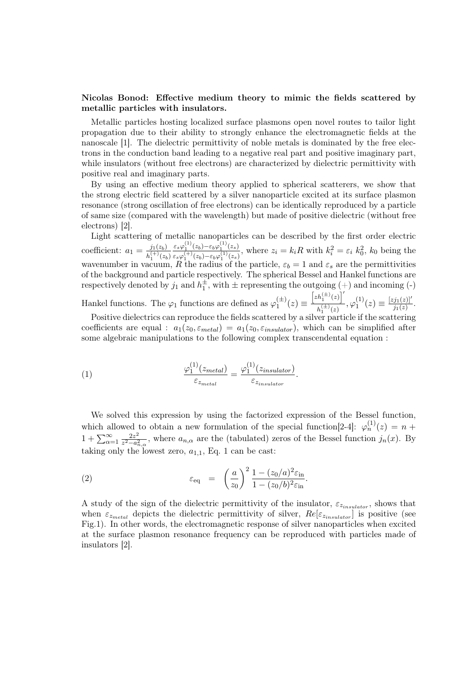### Nicolas Bonod: Effective medium theory to mimic the fields scattered by metallic particles with insulators.

Metallic particles hosting localized surface plasmons open novel routes to tailor light propagation due to their ability to strongly enhance the electromagnetic fields at the nanoscale [1]. The dielectric permittivity of noble metals is dominated by the free electrons in the conduction band leading to a negative real part and positive imaginary part, while insulators (without free electrons) are characterized by dielectric permittivity with positive real and imaginary parts.

By using an effective medium theory applied to spherical scatterers, we show that the strong electric field scattered by a silver nanoparticle excited at its surface plasmon resonance (strong oscillation of free electrons) can be identically reproduced by a particle of same size (compared with the wavelength) but made of positive dielectric (without free electrons) [2].

Light scattering of metallic nanoparticles can be described by the first order electric coefficient:  $a_1 = \frac{j_1(z_b)}{j_1(z_b)}$  $h_1^{(+)}(z_b)$  $\epsilon_s\varphi_1^{(1)}(z_b)-\epsilon_b\varphi_1^{(1)}(z_s)$  $\frac{\varepsilon_s\varphi_1^{\gamma'}(z_b)-\varepsilon_b\varphi_1^{\gamma'}(z_s)}{\varepsilon_s\varphi_1^{\gamma+1}(z_b)-\varepsilon_b\varphi_1^{\gamma+1}(z_s)},$  where  $z_i=k_iR$  with  $k_i^2=\varepsilon_i k_0^2$ ,  $k_0$  being the wavenumber in vacuum, R the radius of the particle,  $\varepsilon_b = 1$  and  $\varepsilon_s$  are the permittivities of the background and particle respectively. The spherical Bessel and Hankel functions are respectively denoted by  $j_1$  and  $h_1^{\pm}$ , with  $\pm$  representing the outgoing (+) and incoming (-)  $\left[zh_1^{(\pm)}(z)\right]'$ 

Hankel functions. The  $\varphi_1$  functions are defined as  $\varphi_1^{(\pm)}$  $I_1^{(\pm)}(z)\equiv$  $\frac{h_1^{(1)}(z)}{h_1^{(\pm)}(z)}, \varphi_1^{(1)}$  $\binom{1}{1}(z) \equiv \frac{[zj_1(z)]'}{j_1(z)}$  $\frac{[j_1(z)]}{j_1(z)}$  . Positive dielectrics can reproduce the fields scattered by a silver particle if the scattering

coefficients are equal :  $a_1(z_0, \varepsilon_{metal}) = a_1(z_0, \varepsilon_{insulator})$ , which can be simplified after some algebraic manipulations to the following complex transcendental equation :

(1) 
$$
\frac{\varphi_1^{(1)}(z_{metal})}{\varepsilon_{z_{metal}}} = \frac{\varphi_1^{(1)}(z_{insulator})}{\varepsilon_{z_{insulator}}}.
$$

We solved this expression by using the factorized expression of the Bessel function, which allowed to obtain a new formulation of the special function [2-4]:  $\varphi_n^{(1)}(z) = n +$  $1 + \sum_{\alpha=1}^{\infty} \frac{2z^2}{z^2 - a_s^2}$  $\frac{2z^2}{z^2-a_{n,\alpha}^2}$ , where  $a_{n,\alpha}$  are the (tabulated) zeros of the Bessel function  $j_n(x)$ . By taking only the lowest zero,  $a_{1,1}$ , Eq. 1 can be cast:

(2) 
$$
\varepsilon_{\text{eq}} = \left(\frac{a}{z_0}\right)^2 \frac{1 - (z_0/a)^2 \varepsilon_{\text{in}}}{1 - (z_0/b)^2 \varepsilon_{\text{in}}}.
$$

A study of the sign of the dielectric permittivity of the insulator,  $\varepsilon_{z_{insulator}}$ , shows that when  $\varepsilon_{z_{metal}}$  depicts the dielectric permittivity of silver,  $Re[\varepsilon_{z_{insulator}}]$  is positive (see Fig.1). In other words, the electromagnetic response of silver nanoparticles when excited at the surface plasmon resonance frequency can be reproduced with particles made of insulators [2].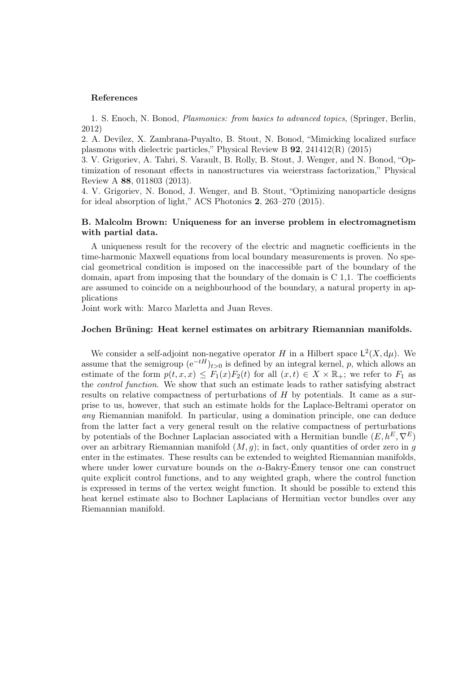### References

1. S. Enoch, N. Bonod, Plasmonics: from basics to advanced topics, (Springer, Berlin, 2012)

2. A. Devilez, X. Zambrana-Puyalto, B. Stout, N. Bonod, "Mimicking localized surface plasmons with dielectric particles," Physical Review B 92, 241412(R) (2015)

3. V. Grigoriev, A. Tahri, S. Varault, B. Rolly, B. Stout, J. Wenger, and N. Bonod, "Optimization of resonant effects in nanostructures via weierstrass factorization," Physical Review A 88, 011803 (2013).

4. V. Grigoriev, N. Bonod, J. Wenger, and B. Stout, "Optimizing nanoparticle designs for ideal absorption of light," ACS Photonics 2, 263–270 (2015).

# B. Malcolm Brown: Uniqueness for an inverse problem in electromagnetism with partial data.

A uniqueness result for the recovery of the electric and magnetic coefficients in the time-harmonic Maxwell equations from local boundary measurements is proven. No special geometrical condition is imposed on the inaccessible part of the boundary of the domain, apart from imposing that the boundary of the domain is C 1,1. The coefficients are assumed to coincide on a neighbourhood of the boundary, a natural property in applications

Joint work with: Marco Marletta and Juan Reves.

#### Jochen Brüning: Heat kernel estimates on arbitrary Riemannian manifolds.

We consider a self-adjoint non-negative operator H in a Hilbert space  $\mathsf{L}^2(X, d\mu)$ . We assume that the semigroup  $(e^{-tH})_{t>0}$  is defined by an integral kernel, p, which allows an estimate of the form  $p(t, x, x) \leq F_1(x)F_2(t)$  for all  $(x, t) \in X \times \mathbb{R}_+$ ; we refer to  $F_1$  as the control function. We show that such an estimate leads to rather satisfying abstract results on relative compactness of perturbations of  $H$  by potentials. It came as a surprise to us, however, that such an estimate holds for the Laplace-Beltrami operator on any Riemannian manifold. In particular, using a domination principle, one can deduce from the latter fact a very general result on the relative compactness of perturbations by potentials of the Bochner Laplacian associated with a Hermitian bundle  $(E, h^E, \nabla^E)$ over an arbitrary Riemannian manifold  $(M, g)$ ; in fact, only quantities of order zero in g enter in the estimates. These results can be extended to weighted Riemannian manifolds, where under lower curvature bounds on the  $\alpha$ -Bakry-Émery tensor one can construct quite explicit control functions, and to any weighted graph, where the control function is expressed in terms of the vertex weight function. It should be possible to extend this heat kernel estimate also to Bochner Laplacians of Hermitian vector bundles over any Riemannian manifold.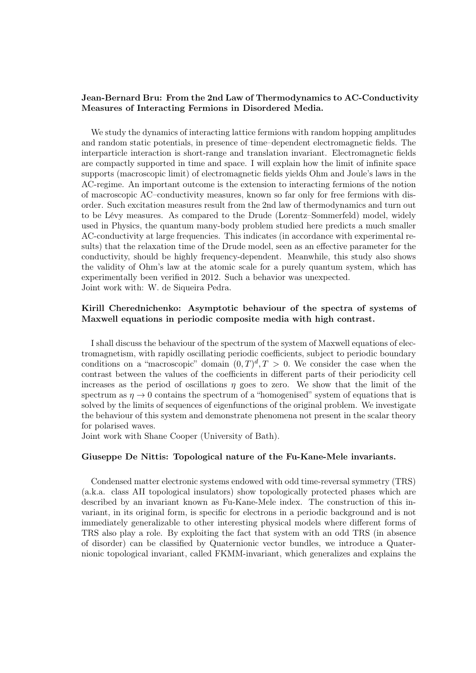## Jean-Bernard Bru: From the 2nd Law of Thermodynamics to AC-Conductivity Measures of Interacting Fermions in Disordered Media.

We study the dynamics of interacting lattice fermions with random hopping amplitudes and random static potentials, in presence of time–dependent electromagnetic fields. The interparticle interaction is short-range and translation invariant. Electromagnetic fields are compactly supported in time and space. I will explain how the limit of infinite space supports (macroscopic limit) of electromagnetic fields yields Ohm and Joule's laws in the AC-regime. An important outcome is the extension to interacting fermions of the notion of macroscopic AC–conductivity measures, known so far only for free fermions with disorder. Such excitation measures result from the 2nd law of thermodynamics and turn out to be Lévy measures. As compared to the Drude (Lorentz–Sommerfeld) model, widely used in Physics, the quantum many-body problem studied here predicts a much smaller AC-conductivity at large frequencies. This indicates (in accordance with experimental results) that the relaxation time of the Drude model, seen as an effective parameter for the conductivity, should be highly frequency-dependent. Meanwhile, this study also shows the validity of Ohm's law at the atomic scale for a purely quantum system, which has experimentally been verified in 2012. Such a behavior was unexpected. Joint work with: W. de Siqueira Pedra.

## Kirill Cherednichenko: Asymptotic behaviour of the spectra of systems of Maxwell equations in periodic composite media with high contrast.

I shall discuss the behaviour of the spectrum of the system of Maxwell equations of electromagnetism, with rapidly oscillating periodic coefficients, subject to periodic boundary conditions on a "macroscopic" domain  $(0,T)^d, T > 0$ . We consider the case when the contrast between the values of the coefficients in different parts of their periodicity cell increases as the period of oscillations  $\eta$  goes to zero. We show that the limit of the spectrum as  $\eta \to 0$  contains the spectrum of a "homogenised" system of equations that is solved by the limits of sequences of eigenfunctions of the original problem. We investigate the behaviour of this system and demonstrate phenomena not present in the scalar theory for polarised waves.

Joint work with Shane Cooper (University of Bath).

### Giuseppe De Nittis: Topological nature of the Fu-Kane-Mele invariants.

Condensed matter electronic systems endowed with odd time-reversal symmetry (TRS) (a.k.a. class AII topological insulators) show topologically protected phases which are described by an invariant known as Fu-Kane-Mele index. The construction of this invariant, in its original form, is specific for electrons in a periodic background and is not immediately generalizable to other interesting physical models where different forms of TRS also play a role. By exploiting the fact that system with an odd TRS (in absence of disorder) can be classified by Quaternionic vector bundles, we introduce a Quaternionic topological invariant, called FKMM-invariant, which generalizes and explains the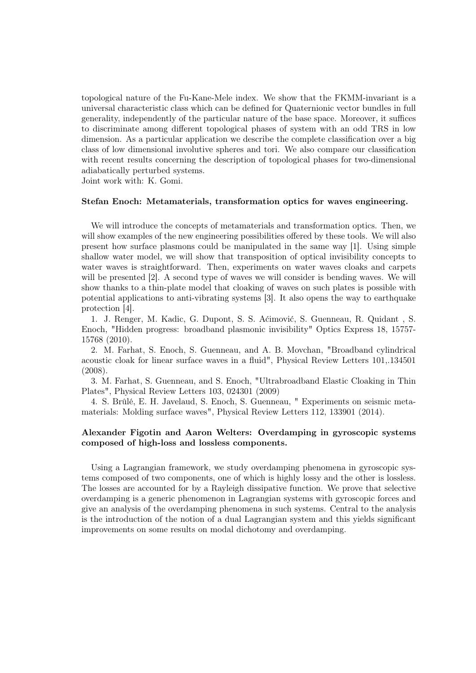topological nature of the Fu-Kane-Mele index. We show that the FKMM-invariant is a universal characteristic class which can be defined for Quaternionic vector bundles in full generality, independently of the particular nature of the base space. Moreover, it suffices to discriminate among different topological phases of system with an odd TRS in low dimension. As a particular application we describe the complete classification over a big class of low dimensional involutive spheres and tori. We also compare our classification with recent results concerning the description of topological phases for two-dimensional adiabatically perturbed systems.

Joint work with: K. Gomi.

#### Stefan Enoch: Metamaterials, transformation optics for waves engineering.

We will introduce the concepts of metamaterials and transformation optics. Then, we will show examples of the new engineering possibilities offered by these tools. We will also present how surface plasmons could be manipulated in the same way [1]. Using simple shallow water model, we will show that transposition of optical invisibility concepts to water waves is straightforward. Then, experiments on water waves cloaks and carpets will be presented [2]. A second type of waves we will consider is bending waves. We will show thanks to a thin-plate model that cloaking of waves on such plates is possible with potential applications to anti-vibrating systems [3]. It also opens the way to earthquake protection [4].

1. J. Renger, M. Kadic, G. Dupont, S. S. Aćimović, S. Guenneau, R. Quidant , S. Enoch, "Hidden progress: broadband plasmonic invisibility" Optics Express 18, 15757- 15768 (2010).

2. M. Farhat, S. Enoch, S. Guenneau, and A. B. Movchan, "Broadband cylindrical acoustic cloak for linear surface waves in a fluid", Physical Review Letters 101,.134501 (2008).

3. M. Farhat, S. Guenneau, and S. Enoch, "Ultrabroadband Elastic Cloaking in Thin Plates", Physical Review Letters 103, 024301 (2009)

4. S. Brûlé, E. H. Javelaud, S. Enoch, S. Guenneau, " Experiments on seismic metamaterials: Molding surface waves", Physical Review Letters 112, 133901 (2014).

# Alexander Figotin and Aaron Welters: Overdamping in gyroscopic systems composed of high-loss and lossless components.

Using a Lagrangian framework, we study overdamping phenomena in gyroscopic systems composed of two components, one of which is highly lossy and the other is lossless. The losses are accounted for by a Rayleigh dissipative function. We prove that selective overdamping is a generic phenomenon in Lagrangian systems with gyroscopic forces and give an analysis of the overdamping phenomena in such systems. Central to the analysis is the introduction of the notion of a dual Lagrangian system and this yields significant improvements on some results on modal dichotomy and overdamping.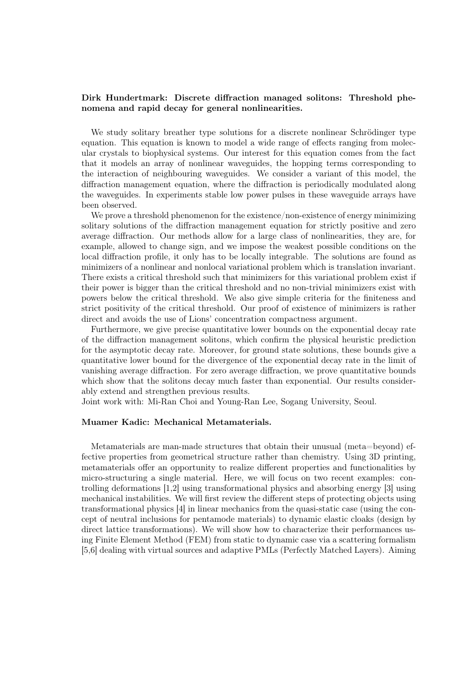## Dirk Hundertmark: Discrete diffraction managed solitons: Threshold phenomena and rapid decay for general nonlinearities.

We study solitary breather type solutions for a discrete nonlinear Schrödinger type equation. This equation is known to model a wide range of effects ranging from molecular crystals to biophysical systems. Our interest for this equation comes from the fact that it models an array of nonlinear waveguides, the hopping terms corresponding to the interaction of neighbouring waveguides. We consider a variant of this model, the diffraction management equation, where the diffraction is periodically modulated along the waveguides. In experiments stable low power pulses in these waveguide arrays have been observed.

We prove a threshold phenomenon for the existence/non-existence of energy minimizing solitary solutions of the diffraction management equation for strictly positive and zero average diffraction. Our methods allow for a large class of nonlinearities, they are, for example, allowed to change sign, and we impose the weakest possible conditions on the local diffraction profile, it only has to be locally integrable. The solutions are found as minimizers of a nonlinear and nonlocal variational problem which is translation invariant. There exists a critical threshold such that minimizers for this variational problem exist if their power is bigger than the critical threshold and no non-trivial minimizers exist with powers below the critical threshold. We also give simple criteria for the finiteness and strict positivity of the critical threshold. Our proof of existence of minimizers is rather direct and avoids the use of Lions' concentration compactness argument.

Furthermore, we give precise quantitative lower bounds on the exponential decay rate of the diffraction management solitons, which confirm the physical heuristic prediction for the asymptotic decay rate. Moreover, for ground state solutions, these bounds give a quantitative lower bound for the divergence of the exponential decay rate in the limit of vanishing average diffraction. For zero average diffraction, we prove quantitative bounds which show that the solitons decay much faster than exponential. Our results considerably extend and strengthen previous results.

Joint work with: Mi-Ran Choi and Young-Ran Lee, Sogang University, Seoul.

### Muamer Kadic: Mechanical Metamaterials.

Metamaterials are man-made structures that obtain their unusual (meta=beyond) effective properties from geometrical structure rather than chemistry. Using 3D printing, metamaterials offer an opportunity to realize different properties and functionalities by micro-structuring a single material. Here, we will focus on two recent examples: controlling deformations [1,2] using transformational physics and absorbing energy [3] using mechanical instabilities. We will first review the different steps of protecting objects using transformational physics [4] in linear mechanics from the quasi-static case (using the concept of neutral inclusions for pentamode materials) to dynamic elastic cloaks (design by direct lattice transformations). We will show how to characterize their performances using Finite Element Method (FEM) from static to dynamic case via a scattering formalism [5,6] dealing with virtual sources and adaptive PMLs (Perfectly Matched Layers). Aiming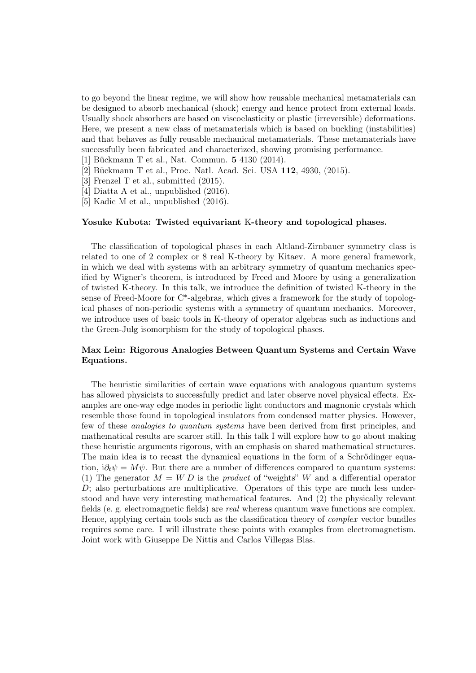to go beyond the linear regime, we will show how reusable mechanical metamaterials can be designed to absorb mechanical (shock) energy and hence protect from external loads. Usually shock absorbers are based on viscoelasticity or plastic (irreversible) deformations. Here, we present a new class of metamaterials which is based on buckling (instabilities) and that behaves as fully reusable mechanical metamaterials. These metamaterials have successfully been fabricated and characterized, showing promising performance.

- [1] Bückmann T et al., Nat. Commun. 5 4130 (2014).
- [2] Bückmann T et al., Proc. Natl. Acad. Sci. USA 112, 4930, (2015).
- [3] Frenzel T et al., submitted (2015).
- [4] Diatta A et al., unpublished (2016).
- [5] Kadic M et al., unpublished (2016).

### Yosuke Kubota: Twisted equivariant K-theory and topological phases.

The classification of topological phases in each Altland-Zirnbauer symmetry class is related to one of 2 complex or 8 real K-theory by Kitaev. A more general framework, in which we deal with systems with an arbitrary symmetry of quantum mechanics specified by Wigner's theorem, is introduced by Freed and Moore by using a generalization of twisted K-theory. In this talk, we introduce the definition of twisted K-theory in the sense of Freed-Moore for C<sup>\*</sup>-algebras, which gives a framework for the study of topological phases of non-periodic systems with a symmetry of quantum mechanics. Moreover, we introduce uses of basic tools in K-theory of operator algebras such as inductions and the Green-Julg isomorphism for the study of topological phases.

# Max Lein: Rigorous Analogies Between Quantum Systems and Certain Wave Equations.

The heuristic similarities of certain wave equations with analogous quantum systems has allowed physicists to successfully predict and later observe novel physical effects. Examples are one-way edge modes in periodic light conductors and magnonic crystals which resemble those found in topological insulators from condensed matter physics. However, few of these analogies to quantum systems have been derived from first principles, and mathematical results are scarcer still. In this talk I will explore how to go about making these heuristic arguments rigorous, with an emphasis on shared mathematical structures. The main idea is to recast the dynamical equations in the form of a Schrödinger equation,  $i\partial_t \psi = M\psi$ . But there are a number of differences compared to quantum systems: (1) The generator  $M = W D$  is the *product* of "weights" W and a differential operator  $D$ ; also perturbations are multiplicative. Operators of this type are much less understood and have very interesting mathematical features. And (2) the physically relevant fields (e. g. electromagnetic fields) are real whereas quantum wave functions are complex. Hence, applying certain tools such as the classification theory of complex vector bundles requires some care. I will illustrate these points with examples from electromagnetism. Joint work with Giuseppe De Nittis and Carlos Villegas Blas.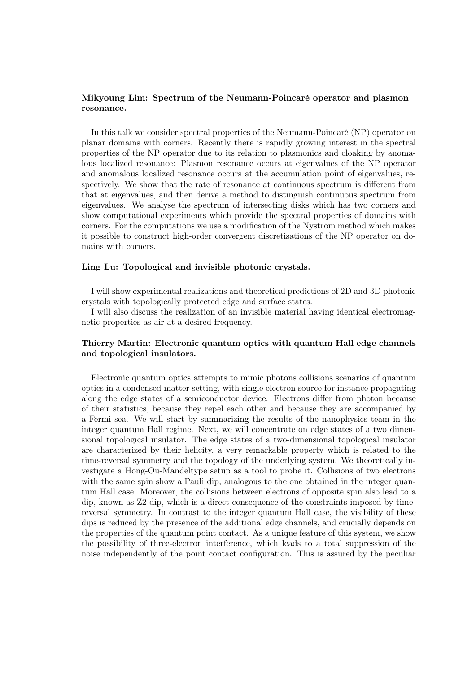## Mikyoung Lim: Spectrum of the Neumann-Poincaré operator and plasmon resonance.

In this talk we consider spectral properties of the Neumann-Poincaré (NP) operator on planar domains with corners. Recently there is rapidly growing interest in the spectral properties of the NP operator due to its relation to plasmonics and cloaking by anomalous localized resonance: Plasmon resonance occurs at eigenvalues of the NP operator and anomalous localized resonance occurs at the accumulation point of eigenvalues, respectively. We show that the rate of resonance at continuous spectrum is different from that at eigenvalues, and then derive a method to distinguish continuous spectrum from eigenvalues. We analyse the spectrum of intersecting disks which has two corners and show computational experiments which provide the spectral properties of domains with corners. For the computations we use a modification of the Nyström method which makes it possible to construct high-order convergent discretisations of the NP operator on domains with corners.

## Ling Lu: Topological and invisible photonic crystals.

I will show experimental realizations and theoretical predictions of 2D and 3D photonic crystals with topologically protected edge and surface states.

I will also discuss the realization of an invisible material having identical electromagnetic properties as air at a desired frequency.

# Thierry Martin: Electronic quantum optics with quantum Hall edge channels and topological insulators.

Electronic quantum optics attempts to mimic photons collisions scenarios of quantum optics in a condensed matter setting, with single electron source for instance propagating along the edge states of a semiconductor device. Electrons differ from photon because of their statistics, because they repel each other and because they are accompanied by a Fermi sea. We will start by summarizing the results of the nanophysics team in the integer quantum Hall regime. Next, we will concentrate on edge states of a two dimensional topological insulator. The edge states of a two-dimensional topological insulator are characterized by their helicity, a very remarkable property which is related to the time-reversal symmetry and the topology of the underlying system. We theoretically investigate a Hong-Ou-Mandeltype setup as a tool to probe it. Collisions of two electrons with the same spin show a Pauli dip, analogous to the one obtained in the integer quantum Hall case. Moreover, the collisions between electrons of opposite spin also lead to a dip, known as Z2 dip, which is a direct consequence of the constraints imposed by timereversal symmetry. In contrast to the integer quantum Hall case, the visibility of these dips is reduced by the presence of the additional edge channels, and crucially depends on the properties of the quantum point contact. As a unique feature of this system, we show the possibility of three-electron interference, which leads to a total suppression of the noise independently of the point contact configuration. This is assured by the peculiar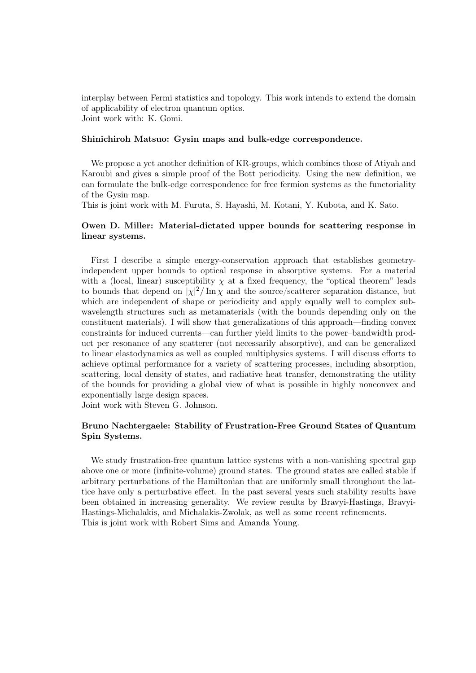interplay between Fermi statistics and topology. This work intends to extend the domain of applicability of electron quantum optics. Joint work with: K. Gomi.

### Shinichiroh Matsuo: Gysin maps and bulk-edge correspondence.

We propose a yet another definition of KR-groups, which combines those of Atiyah and Karoubi and gives a simple proof of the Bott periodicity. Using the new definition, we can formulate the bulk-edge correspondence for free fermion systems as the functoriality of the Gysin map.

This is joint work with M. Furuta, S. Hayashi, M. Kotani, Y. Kubota, and K. Sato.

# Owen D. Miller: Material-dictated upper bounds for scattering response in linear systems.

First I describe a simple energy-conservation approach that establishes geometryindependent upper bounds to optical response in absorptive systems. For a material with a (local, linear) susceptibility  $\chi$  at a fixed frequency, the "optical theorem" leads to bounds that depend on  $|\chi|^2 / \text{Im } \chi$  and the source/scatterer separation distance, but which are independent of shape or periodicity and apply equally well to complex subwavelength structures such as metamaterials (with the bounds depending only on the constituent materials). I will show that generalizations of this approach—finding convex constraints for induced currents—can further yield limits to the power–bandwidth product per resonance of any scatterer (not necessarily absorptive), and can be generalized to linear elastodynamics as well as coupled multiphysics systems. I will discuss efforts to achieve optimal performance for a variety of scattering processes, including absorption, scattering, local density of states, and radiative heat transfer, demonstrating the utility of the bounds for providing a global view of what is possible in highly nonconvex and exponentially large design spaces.

Joint work with Steven G. Johnson.

# Bruno Nachtergaele: Stability of Frustration-Free Ground States of Quantum Spin Systems.

We study frustration-free quantum lattice systems with a non-vanishing spectral gap above one or more (infinite-volume) ground states. The ground states are called stable if arbitrary perturbations of the Hamiltonian that are uniformly small throughout the lattice have only a perturbative effect. In the past several years such stability results have been obtained in increasing generality. We review results by Bravyi-Hastings, Bravyi-Hastings-Michalakis, and Michalakis-Zwolak, as well as some recent refinements. This is joint work with Robert Sims and Amanda Young.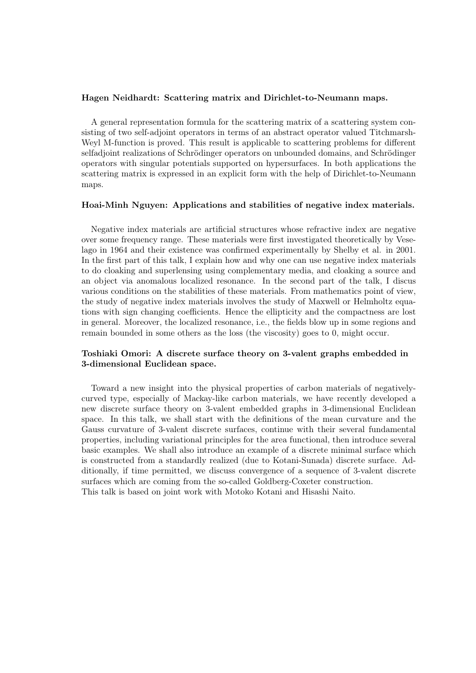### Hagen Neidhardt: Scattering matrix and Dirichlet-to-Neumann maps.

A general representation formula for the scattering matrix of a scattering system consisting of two self-adjoint operators in terms of an abstract operator valued Titchmarsh-Weyl M-function is proved. This result is applicable to scattering problems for different selfadjoint realizations of Schrödinger operators on unbounded domains, and Schrödinger operators with singular potentials supported on hypersurfaces. In both applications the scattering matrix is expressed in an explicit form with the help of Dirichlet-to-Neumann maps.

### Hoai-Minh Nguyen: Applications and stabilities of negative index materials.

Negative index materials are artificial structures whose refractive index are negative over some frequency range. These materials were first investigated theoretically by Veselago in 1964 and their existence was confirmed experimentally by Shelby et al. in 2001. In the first part of this talk, I explain how and why one can use negative index materials to do cloaking and superlensing using complementary media, and cloaking a source and an object via anomalous localized resonance. In the second part of the talk, I discus various conditions on the stabilities of these materials. From mathematics point of view, the study of negative index materials involves the study of Maxwell or Helmholtz equations with sign changing coefficients. Hence the ellipticity and the compactness are lost in general. Moreover, the localized resonance, i.e., the fields blow up in some regions and remain bounded in some others as the loss (the viscosity) goes to 0, might occur.

# Toshiaki Omori: A discrete surface theory on 3-valent graphs embedded in 3-dimensional Euclidean space.

Toward a new insight into the physical properties of carbon materials of negativelycurved type, especially of Mackay-like carbon materials, we have recently developed a new discrete surface theory on 3-valent embedded graphs in 3-dimensional Euclidean space. In this talk, we shall start with the definitions of the mean curvature and the Gauss curvature of 3-valent discrete surfaces, continue with their several fundamental properties, including variational principles for the area functional, then introduce several basic examples. We shall also introduce an example of a discrete minimal surface which is constructed from a standardly realized (due to Kotani-Sunada) discrete surface. Additionally, if time permitted, we discuss convergence of a sequence of 3-valent discrete surfaces which are coming from the so-called Goldberg-Coxeter construction. This talk is based on joint work with Motoko Kotani and Hisashi Naito.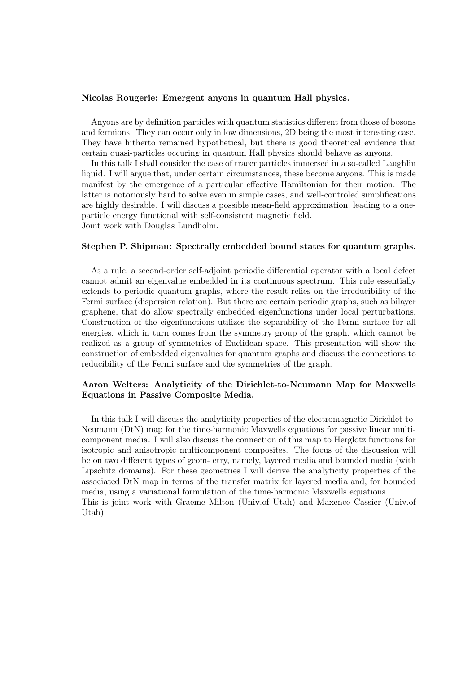#### Nicolas Rougerie: Emergent anyons in quantum Hall physics.

Anyons are by definition particles with quantum statistics different from those of bosons and fermions. They can occur only in low dimensions, 2D being the most interesting case. They have hitherto remained hypothetical, but there is good theoretical evidence that certain quasi-particles occuring in quantum Hall physics should behave as anyons.

In this talk I shall consider the case of tracer particles immersed in a so-called Laughlin liquid. I will argue that, under certain circumstances, these become anyons. This is made manifest by the emergence of a particular effective Hamiltonian for their motion. The latter is notoriously hard to solve even in simple cases, and well-controled simplifications are highly desirable. I will discuss a possible mean-field approximation, leading to a oneparticle energy functional with self-consistent magnetic field. Joint work with Douglas Lundholm.

#### Stephen P. Shipman: Spectrally embedded bound states for quantum graphs.

As a rule, a second-order self-adjoint periodic differential operator with a local defect cannot admit an eigenvalue embedded in its continuous spectrum. This rule essentially extends to periodic quantum graphs, where the result relies on the irreducibility of the Fermi surface (dispersion relation). But there are certain periodic graphs, such as bilayer graphene, that do allow spectrally embedded eigenfunctions under local perturbations. Construction of the eigenfunctions utilizes the separability of the Fermi surface for all energies, which in turn comes from the symmetry group of the graph, which cannot be realized as a group of symmetries of Euclidean space. This presentation will show the construction of embedded eigenvalues for quantum graphs and discuss the connections to reducibility of the Fermi surface and the symmetries of the graph.

# Aaron Welters: Analyticity of the Dirichlet-to-Neumann Map for Maxwells Equations in Passive Composite Media.

In this talk I will discuss the analyticity properties of the electromagnetic Dirichlet-to-Neumann (DtN) map for the time-harmonic Maxwells equations for passive linear multicomponent media. I will also discuss the connection of this map to Herglotz functions for isotropic and anisotropic multicomponent composites. The focus of the discussion will be on two different types of geom- etry, namely, layered media and bounded media (with Lipschitz domains). For these geometries I will derive the analyticity properties of the associated DtN map in terms of the transfer matrix for layered media and, for bounded media, using a variational formulation of the time-harmonic Maxwells equations. This is joint work with Graeme Milton (Univ.of Utah) and Maxence Cassier (Univ.of Utah).